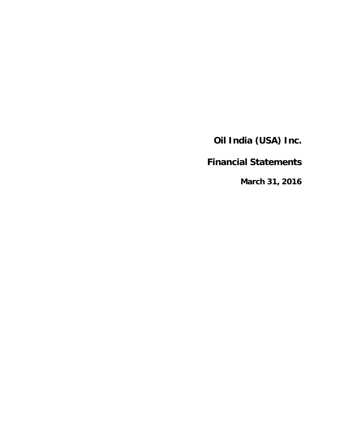**Financial Statements**

**March 31, 2016**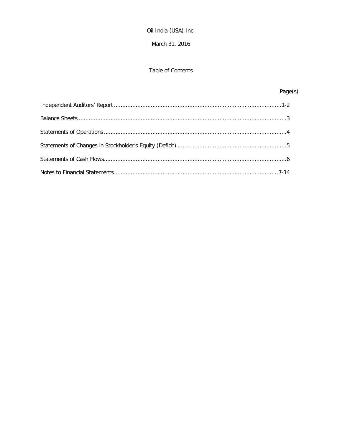March 31, 2016

# Table of Contents

# Page(s)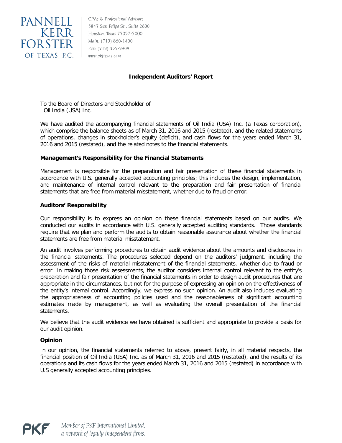

PANNELL | CPAs & Professional Advisors<br>5847 San Felipe St., Suite 2600  $KERR$  Mouston, Texas 77057-3000 Main: (713) 860-1400 Fax: (713) 355-3909 www.pkftexas.com

# **Independent Auditors' Report**

To the Board of Directors and Stockholder of Oil India (USA) Inc.

We have audited the accompanying financial statements of Oil India (USA) Inc. (a Texas corporation), which comprise the balance sheets as of March 31, 2016 and 2015 (restated), and the related statements of operations, changes in stockholder's equity (deficit), and cash flows for the years ended March 31, 2016 and 2015 (restated), and the related notes to the financial statements.

# **Management's Responsibility for the Financial Statements**

Management is responsible for the preparation and fair presentation of these financial statements in accordance with U.S. generally accepted accounting principles; this includes the design, implementation, and maintenance of internal control relevant to the preparation and fair presentation of financial statements that are free from material misstatement, whether due to fraud or error.

# **Auditors' Responsibility**

Our responsibility is to express an opinion on these financial statements based on our audits. We conducted our audits in accordance with U.S. generally accepted auditing standards. Those standards require that we plan and perform the audits to obtain reasonable assurance about whether the financial statements are free from material misstatement.

An audit involves performing procedures to obtain audit evidence about the amounts and disclosures in the financial statements. The procedures selected depend on the auditors' judgment, including the assessment of the risks of material misstatement of the financial statements, whether due to fraud or error. In making those risk assessments, the auditor considers internal control relevant to the entity's preparation and fair presentation of the financial statements in order to design audit procedures that are appropriate in the circumstances, but not for the purpose of expressing an opinion on the effectiveness of the entity's internal control. Accordingly, we express no such opinion. An audit also includes evaluating the appropriateness of accounting policies used and the reasonableness of significant accounting estimates made by management, as well as evaluating the overall presentation of the financial statements.

We believe that the audit evidence we have obtained is sufficient and appropriate to provide a basis for our audit opinion.

# **Opinion**

In our opinion, the financial statements referred to above, present fairly, in all material respects, the financial position of Oil India (USA) Inc. as of March 31, 2016 and 2015 (restated), and the results of its operations and its cash flows for the years ended March 31, 2016 and 2015 (restated) in accordance with U.S generally accepted accounting principles.

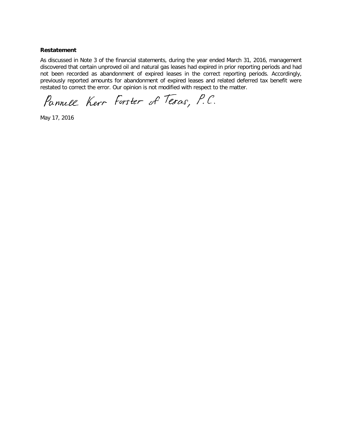## **Restatement**

As discussed in Note 3 of the financial statements, during the year ended March 31, 2016, management discovered that certain unproved oil and natural gas leases had expired in prior reporting periods and had not been recorded as abandonment of expired leases in the correct reporting periods. Accordingly, previously reported amounts for abandonment of expired leases and related deferred tax benefit were restated to correct the error. Our opinion is not modified with respect to the matter.

Pannell Kerr Forster of Texas, P.C.

May 17, 2016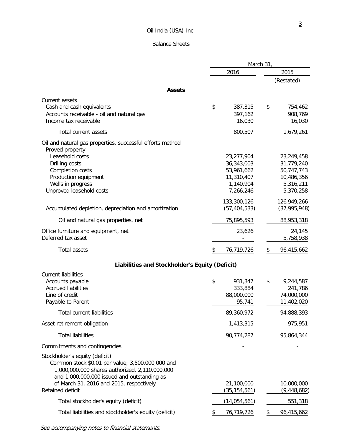# Balance Sheets

|                                                           | March 31, |                |    |                |
|-----------------------------------------------------------|-----------|----------------|----|----------------|
|                                                           |           | 2016           |    | 2015           |
|                                                           |           |                |    | (Restated)     |
| <b>Assets</b>                                             |           |                |    |                |
| Current assets                                            |           |                |    |                |
| Cash and cash equivalents                                 | \$        | 387,315        | \$ | 754,462        |
| Accounts receivable - oil and natural gas                 |           | 397,162        |    | 908,769        |
| Income tax receivable                                     |           | 16,030         |    | 16,030         |
| Total current assets                                      |           | 800,507        |    | 1,679,261      |
| Oil and natural gas properties, successful efforts method |           |                |    |                |
| Proved property                                           |           |                |    |                |
| Leasehold costs                                           |           | 23,277,904     |    | 23,249,458     |
| Drilling costs                                            |           | 36,343,003     |    | 31,779,240     |
| Completion costs                                          |           | 53,961,662     |    | 50,747,743     |
| Production equipment                                      |           | 11,310,407     |    | 10,486,356     |
| Wells in progress                                         |           | 1,140,904      |    | 5,316,211      |
| Unproved leasehold costs                                  |           | 7,266,246      |    | 5,370,258      |
|                                                           |           | 133,300,126    |    | 126,949,266    |
| Accumulated depletion, depreciation and amortization      |           | (57, 404, 533) |    | (37, 995, 948) |
| Oil and natural gas properties, net                       |           | 75,895,593     |    | 88,953,318     |
| Office furniture and equipment, net                       |           | 23,626         |    | 24,145         |
| Deferred tax asset                                        |           |                |    | 5,758,938      |
| <b>Total assets</b>                                       | \$        | 76,719,726     | \$ | 96,415,662     |
| Liabilities and Stockholder's Equity (Deficit)            |           |                |    |                |
| <b>Current liabilities</b>                                |           |                |    |                |
| Accounts payable                                          | \$        | 931,347        | \$ | 9,244,587      |
| <b>Accrued liabilities</b>                                |           | 333,884        |    | 241,786        |
| Line of credit                                            |           | 88,000,000     |    | 74,000,000     |
| Payable to Parent                                         |           | 95,741         |    | 11,402,020     |
| <b>Total current liabilities</b>                          |           | 89,360,972     |    | 94,888,393     |
| Asset retirement obligation                               |           | 1,413,315      |    | 975,951        |
| <b>Total liabilities</b>                                  |           | 90,774,287     |    | 95,864,344     |
| Commitments and contingencies                             |           |                |    |                |
| Stockholder's equity (deficit)                            |           |                |    |                |
| Common stock \$0.01 par value; 3,500,000,000 and          |           |                |    |                |
| 1,000,000,000 shares authorized, 2,110,000,000            |           |                |    |                |
| and 1,000,000,000 issued and outstanding as               |           |                |    |                |
| of March 31, 2016 and 2015, respectively                  |           | 21,100,000     |    | 10,000,000     |
| Retained deficit                                          |           | (35, 154, 561) |    | (9, 448, 682)  |
| Total stockholder's equity (deficit)                      |           | (14,054,561)   |    | 551,318        |
| Total liabilities and stockholder's equity (deficit)      | \$        | 76,719,726     | \$ | 96,415,662     |
|                                                           |           |                |    |                |

See accompanying notes to financial statements.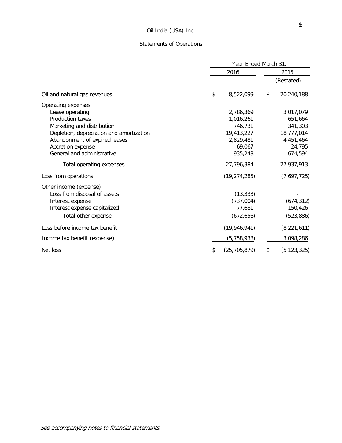# Statements of Operations

|                                          | Year Ended March 31, |                     |  |  |  |  |
|------------------------------------------|----------------------|---------------------|--|--|--|--|
|                                          | 2016                 | 2015                |  |  |  |  |
|                                          |                      | (Restated)          |  |  |  |  |
| Oil and natural gas revenues             | \$<br>8,522,099      | \$<br>20,240,188    |  |  |  |  |
| Operating expenses                       |                      |                     |  |  |  |  |
| Lease operating                          | 2,786,369            | 3,017,079           |  |  |  |  |
| Production taxes                         | 1,016,261            | 651,664             |  |  |  |  |
| Marketing and distribution               | 746,731              | 341,303             |  |  |  |  |
| Depletion, depreciation and amortization | 19,413,227           | 18,777,014          |  |  |  |  |
| Abandonment of expired leases            | 2,829,481            | 4,451,464           |  |  |  |  |
| Accretion expense                        | 69,067               | 24,795              |  |  |  |  |
| General and administrative               | 935,248              | 674,594             |  |  |  |  |
| Total operating expenses                 | 27,796,384           | 27,937,913          |  |  |  |  |
| Loss from operations                     | (19, 274, 285)       | (7,697,725)         |  |  |  |  |
| Other income (expense)                   |                      |                     |  |  |  |  |
| Loss from disposal of assets             | (13, 333)            |                     |  |  |  |  |
| Interest expense                         | (737,004)            | (674, 312)          |  |  |  |  |
| Interest expense capitalized             | 77,681               | 150,426             |  |  |  |  |
| Total other expense                      | (672, 656)           | (523, 886)          |  |  |  |  |
| Loss before income tax benefit           | (19, 946, 941)       | (8, 221, 611)       |  |  |  |  |
| Income tax benefit (expense)             | (5, 758, 938)        | 3,098,286           |  |  |  |  |
| Net loss                                 | (25, 705, 879)<br>\$ | (5, 123, 325)<br>\$ |  |  |  |  |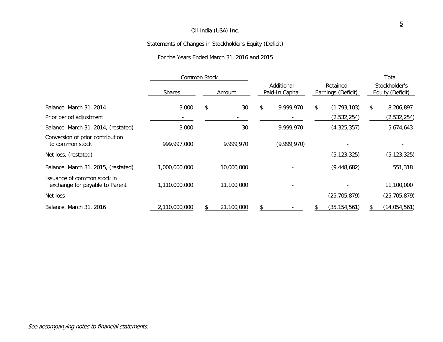# Statements of Changes in Stockholder's Equity (Deficit)

# For the Years Ended March 31, 2016 and 2015

|                                                               | <b>Common Stock</b> |    |            |                               |                                | Total                             |
|---------------------------------------------------------------|---------------------|----|------------|-------------------------------|--------------------------------|-----------------------------------|
|                                                               | <b>Shares</b>       |    | Amount     | Additional<br>Paid-In Capital | Retained<br>Earnings (Deficit) | Stockholder's<br>Equity (Deficit) |
| Balance, March 31, 2014                                       | 3,000               | \$ | 30         | \$<br>9,999,970               | \$<br>(1, 793, 103)            | \$<br>8,206,897                   |
| Prior period adjustment                                       |                     |    |            |                               | (2,532,254)                    | (2,532,254)                       |
| Balance, March 31, 2014, (restated)                           | 3,000               |    | 30         | 9,999,970                     | (4,325,357)                    | 5,674,643                         |
| Conversion of prior contribution<br>to common stock           | 999,997,000         |    | 9,999,970  | (9,999,970)                   |                                |                                   |
| Net loss, (restated)                                          |                     |    |            |                               | (5, 123, 325)                  | (5, 123, 325)                     |
| Balance, March 31, 2015, (restated)                           | 1,000,000,000       |    | 10,000,000 |                               | (9,448,682)                    | 551,318                           |
| Issuance of common stock in<br>exchange for payable to Parent | 1,110,000,000       |    | 11,100,000 |                               |                                | 11,100,000                        |
| Net loss                                                      |                     |    |            |                               | (25, 705, 879)                 | (25, 705, 879)                    |
| Balance, March 31, 2016                                       | 2,110,000,000       | S  | 21,100,000 |                               | (35, 154, 561)                 | (14, 054, 561)                    |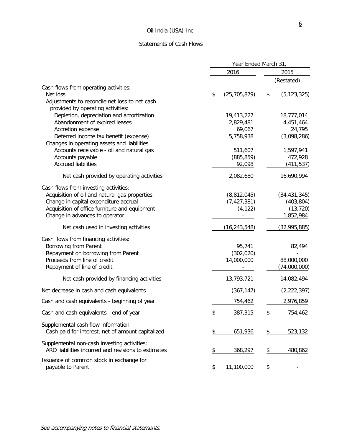# Statements of Cash Flows

|                                                                                                                                                                     | Year Ended March 31, |                                    |    |                                      |  |
|---------------------------------------------------------------------------------------------------------------------------------------------------------------------|----------------------|------------------------------------|----|--------------------------------------|--|
|                                                                                                                                                                     |                      | 2016                               |    | 2015                                 |  |
|                                                                                                                                                                     |                      |                                    |    | (Restated)                           |  |
| Cash flows from operating activities:<br>Net loss<br>Adjustments to reconcile net loss to net cash                                                                  | \$                   | (25, 705, 879)                     | \$ | (5, 123, 325)                        |  |
| provided by operating activities:                                                                                                                                   |                      |                                    |    |                                      |  |
| Depletion, depreciation and amortization                                                                                                                            |                      | 19,413,227                         |    | 18,777,014                           |  |
| Abandonment of expired leases                                                                                                                                       |                      | 2,829,481                          |    | 4,451,464                            |  |
| Accretion expense<br>Deferred income tax benefit (expense)                                                                                                          |                      | 69,067<br>5,758,938                |    | 24,795                               |  |
| Changes in operating assets and liabilities                                                                                                                         |                      |                                    |    | (3,098,286)                          |  |
| Accounts receivable - oil and natural gas                                                                                                                           |                      | 511,607                            |    | 1,597,941                            |  |
| Accounts payable                                                                                                                                                    |                      | (885, 859)                         |    | 472,928                              |  |
| <b>Accrued liabilities</b>                                                                                                                                          |                      | 92,098                             |    | (411, 537)                           |  |
| Net cash provided by operating activities                                                                                                                           |                      | 2,082,680                          |    | 16,690,994                           |  |
| Cash flows from investing activities:<br>Acquisition of oil and natural gas properties                                                                              |                      | (8,812,045)                        |    | (34, 431, 345)                       |  |
| Change in capital expenditure accrual                                                                                                                               |                      | (7, 427, 381)                      |    | (403, 804)                           |  |
| Acquisition of office furniture and equipment                                                                                                                       |                      | (4, 122)                           |    | (13, 720)                            |  |
| Change in advances to operator                                                                                                                                      |                      |                                    |    | 1,852,984                            |  |
| Net cash used in investing activities                                                                                                                               |                      | (16, 243, 548)                     |    | (32,995,885)                         |  |
| Cash flows from financing activities:<br>Borrowing from Parent<br>Repayment on borrowing from Parent<br>Proceeds from line of credit<br>Repayment of line of credit |                      | 95,741<br>(302, 020)<br>14,000,000 |    | 82,494<br>88,000,000<br>(74,000,000) |  |
| Net cash provided by financing activities                                                                                                                           |                      | 13,793,721                         |    | 14,082,494                           |  |
| Net decrease in cash and cash equivalents                                                                                                                           |                      | (367, 147)                         |    | (2, 222, 397)                        |  |
| Cash and cash equivalents - beginning of year                                                                                                                       |                      | 754,462                            |    | 2,976,859                            |  |
| Cash and cash equivalents - end of year                                                                                                                             | \$                   | 387,315                            | \$ | 754,462                              |  |
| Supplemental cash flow information<br>Cash paid for interest, net of amount capitalized                                                                             | \$                   | 651,936                            | \$ | 523,132                              |  |
| Supplemental non-cash investing activities:<br>ARO liabilities incurred and revisions to estimates                                                                  | \$                   | 368,297                            | \$ | 480,862                              |  |
| Issuance of common stock in exchange for<br>payable to Parent                                                                                                       | \$                   | 11,100,000                         | \$ |                                      |  |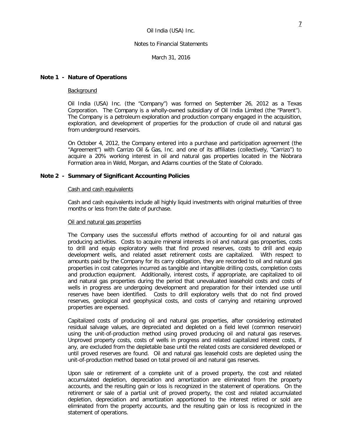## Notes to Financial Statements

March 31, 2016

## **Note 1 - Nature of Operations**

#### **Background**

Oil India (USA) Inc. (the "Company") was formed on September 26, 2012 as a Texas Corporation. The Company is a wholly-owned subsidiary of Oil India Limited (the "Parent"). The Company is a petroleum exploration and production company engaged in the acquisition, exploration, and development of properties for the production of crude oil and natural gas from underground reservoirs.

On October 4, 2012, the Company entered into a purchase and participation agreement (the "Agreement") with Carrizo Oil & Gas, Inc. and one of its affiliates (collectively, "Carrizo") to acquire a 20% working interest in oil and natural gas properties located in the Niobrara Formation area in Weld, Morgan, and Adams counties of the State of Colorado.

## **Note 2 - Summary of Significant Accounting Policies**

#### Cash and cash equivalents

Cash and cash equivalents include all highly liquid investments with original maturities of three months or less from the date of purchase.

#### Oil and natural gas properties

The Company uses the successful efforts method of accounting for oil and natural gas producing activities. Costs to acquire mineral interests in oil and natural gas properties, costs to drill and equip exploratory wells that find proved reserves, costs to drill and equip development wells, and related asset retirement costs are capitalized. With respect to amounts paid by the Company for its carry obligation, they are recorded to oil and natural gas properties in cost categories incurred as tangible and intangible drilling costs, completion costs and production equipment. Additionally, interest costs, if appropriate, are capitalized to oil and natural gas properties during the period that unevaluated leasehold costs and costs of wells in progress are undergoing development and preparation for their intended use until reserves have been identified. Costs to drill exploratory wells that do not find proved reserves, geological and geophysical costs, and costs of carrying and retaining unproved properties are expensed.

Capitalized costs of producing oil and natural gas properties, after considering estimated residual salvage values, are depreciated and depleted on a field level (common reservoir) using the unit-of-production method using proved producing oil and natural gas reserves. Unproved property costs, costs of wells in progress and related capitalized interest costs, if any, are excluded from the depletable base until the related costs are considered developed or until proved reserves are found. Oil and natural gas leasehold costs are depleted using the unit-of-production method based on total proved oil and natural gas reserves.

Upon sale or retirement of a complete unit of a proved property, the cost and related accumulated depletion, depreciation and amortization are eliminated from the property accounts, and the resulting gain or loss is recognized in the statement of operations. On the retirement or sale of a partial unit of proved property, the cost and related accumulated depletion, depreciation and amortization apportioned to the interest retired or sold are eliminated from the property accounts, and the resulting gain or loss is recognized in the statement of operations.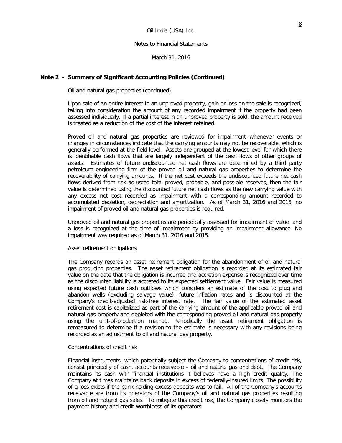March 31, 2016

# **Note 2 - Summary of Significant Accounting Policies (Continued)**

## Oil and natural gas properties (continued)

Upon sale of an entire interest in an unproved property, gain or loss on the sale is recognized, taking into consideration the amount of any recorded impairment if the property had been assessed individually. If a partial interest in an unproved property is sold, the amount received is treated as a reduction of the cost of the interest retained.

Proved oil and natural gas properties are reviewed for impairment whenever events or changes in circumstances indicate that the carrying amounts may not be recoverable, which is generally performed at the field level. Assets are grouped at the lowest level for which there is identifiable cash flows that are largely independent of the cash flows of other groups of assets. Estimates of future undiscounted net cash flows are determined by a third party petroleum engineering firm of the proved oil and natural gas properties to determine the recoverability of carrying amounts. If the net cost exceeds the undiscounted future net cash flows derived from risk adjusted total proved, probable, and possible reserves, then the fair value is determined using the discounted future net cash flows as the new carrying value with any excess net cost recorded as impairment with a corresponding amount recorded to accumulated depletion, depreciation and amortization. As of March 31, 2016 and 2015, no impairment of proved oil and natural gas properties is required.

Unproved oil and natural gas properties are periodically assessed for impairment of value, and a loss is recognized at the time of impairment by providing an impairment allowance. No impairment was required as of March 31, 2016 and 2015.

#### Asset retirement obligations

The Company records an asset retirement obligation for the abandonment of oil and natural gas producing properties. The asset retirement obligation is recorded at its estimated fair value on the date that the obligation is incurred and accretion expense is recognized over time as the discounted liability is accreted to its expected settlement value. Fair value is measured using expected future cash outflows which considers an estimate of the cost to plug and abandon wells (excluding salvage value), future inflation rates and is discounted at the Company's credit-adjusted risk-free interest rate. The fair value of the estimated asset retirement cost is capitalized as part of the carrying amount of the applicable proved oil and natural gas property and depleted with the corresponding proved oil and natural gas property using the unit-of-production method. Periodically the asset retirement obligation is remeasured to determine if a revision to the estimate is necessary with any revisions being recorded as an adjustment to oil and natural gas property.

#### Concentrations of credit risk

Financial instruments, which potentially subject the Company to concentrations of credit risk, consist principally of cash, accounts receivable – oil and natural gas and debt. The Company maintains its cash with financial institutions it believes have a high credit quality. The Company at times maintains bank deposits in excess of federally-insured limits. The possibility of a loss exists if the bank holding excess deposits was to fail. All of the Company's accounts receivable are from its operators of the Company's oil and natural gas properties resulting from oil and natural gas sales. To mitigate this credit risk, the Company closely monitors the payment history and credit worthiness of its operators.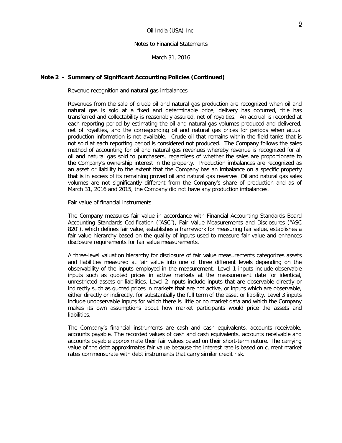March 31, 2016

# **Note 2 - Summary of Significant Accounting Policies (Continued)**

#### Revenue recognition and natural gas imbalances

Revenues from the sale of crude oil and natural gas production are recognized when oil and natural gas is sold at a fixed and determinable price, delivery has occurred, title has transferred and collectability is reasonably assured, net of royalties. An accrual is recorded at each reporting period by estimating the oil and natural gas volumes produced and delivered, net of royalties, and the corresponding oil and natural gas prices for periods when actual production information is not available. Crude oil that remains within the field tanks that is not sold at each reporting period is considered not produced. The Company follows the sales method of accounting for oil and natural gas revenues whereby revenue is recognized for all oil and natural gas sold to purchasers, regardless of whether the sales are proportionate to the Company's ownership interest in the property. Production imbalances are recognized as an asset or liability to the extent that the Company has an imbalance on a specific property that is in excess of its remaining proved oil and natural gas reserves. Oil and natural gas sales volumes are not significantly different from the Company's share of production and as of March 31, 2016 and 2015, the Company did not have any production imbalances.

# Fair value of financial instruments

The Company measures fair value in accordance with Financial Accounting Standards Board Accounting Standards Codification ("ASC"), Fair Value Measurements and Disclosures ("ASC 820"), which defines fair value, establishes a framework for measuring fair value, establishes a fair value hierarchy based on the quality of inputs used to measure fair value and enhances disclosure requirements for fair value measurements.

A three-level valuation hierarchy for disclosure of fair value measurements categorizes assets and liabilities measured at fair value into one of three different levels depending on the observability of the inputs employed in the measurement. Level 1 inputs include observable inputs such as quoted prices in active markets at the measurement date for identical, unrestricted assets or liabilities. Level 2 inputs include inputs that are observable directly or indirectly such as quoted prices in markets that are not active, or inputs which are observable, either directly or indirectly, for substantially the full term of the asset or liability. Level 3 inputs include unobservable inputs for which there is little or no market data and which the Company makes its own assumptions about how market participants would price the assets and liabilities.

The Company's financial instruments are cash and cash equivalents, accounts receivable, accounts payable. The recorded values of cash and cash equivalents, accounts receivable and accounts payable approximate their fair values based on their short-term nature. The carrying value of the debt approximates fair value because the interest rate is based on current market rates commensurate with debt instruments that carry similar credit risk.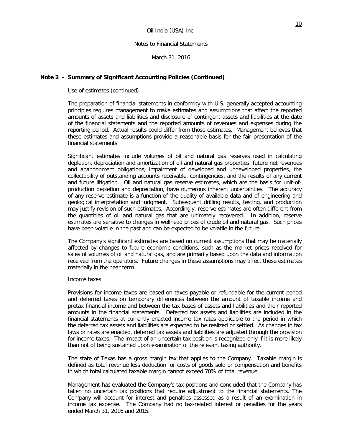March 31, 2016

# **Note 2 - Summary of Significant Accounting Policies (Continued)**

## Use of estimates (continued)

The preparation of financial statements in conformity with U.S. generally accepted accounting principles requires management to make estimates and assumptions that affect the reported amounts of assets and liabilities and disclosure of contingent assets and liabilities at the date of the financial statements and the reported amounts of revenues and expenses during the reporting period. Actual results could differ from those estimates. Management believes that these estimates and assumptions provide a reasonable basis for the fair presentation of the financial statements.

Significant estimates include volumes of oil and natural gas reserves used in calculating depletion, depreciation and amortization of oil and natural gas properties, future net revenues and abandonment obligations, impairment of developed and undeveloped properties, the collectability of outstanding accounts receivable, contingencies, and the results of any current and future litigation. Oil and natural gas reserve estimates, which are the basis for unit-ofproduction depletion and depreciation, have numerous inherent uncertainties. The accuracy of any reserve estimate is a function of the quality of available data and of engineering and geological interpretation and judgment. Subsequent drilling results, testing, and production may justify revision of such estimates. Accordingly, reserve estimates are often different from the quantities of oil and natural gas that are ultimately recovered. In addition, reserve estimates are sensitive to changes in wellhead prices of crude oil and natural gas. Such prices have been volatile in the past and can be expected to be volatile in the future.

The Company's significant estimates are based on current assumptions that may be materially affected by changes to future economic conditions, such as the market prices received for sales of volumes of oil and natural gas, and are primarily based upon the data and information received from the operators. Future changes in these assumptions may affect these estimates materially in the near term.

#### Income taxes

Provisions for income taxes are based on taxes payable or refundable for the current period and deferred taxes on temporary differences between the amount of taxable income and pretax financial income and between the tax bases of assets and liabilities and their reported amounts in the financial statements. Deferred tax assets and liabilities are included in the financial statements at currently enacted income tax rates applicable to the period in which the deferred tax assets and liabilities are expected to be realized or settled. As changes in tax laws or rates are enacted, deferred tax assets and liabilities are adjusted through the provision for income taxes. The impact of an uncertain tax position is recognized only if it is more likely than not of being sustained upon examination of the relevant taxing authority.

The state of Texas has a gross margin tax that applies to the Company. Taxable margin is defined as total revenue less deduction for costs of goods sold or compensation and benefits in which total calculated taxable margin cannot exceed 70% of total revenue.

Management has evaluated the Company's tax positions and concluded that the Company has taken no uncertain tax positions that require adjustment to the financial statements. The Company will account for interest and penalties assessed as a result of an examination in income tax expense. The Company had no tax-related interest or penalties for the years ended March 31, 2016 and 2015.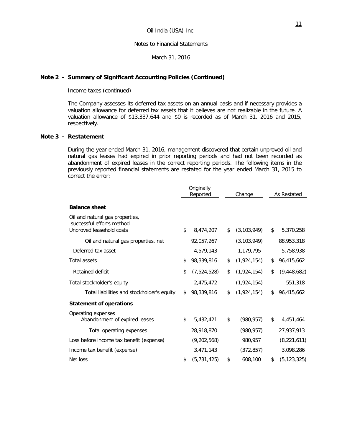March 31, 2016

# **Note 2 - Summary of Significant Accounting Policies (Continued)**

#### Income taxes (continued)

The Company assesses its deferred tax assets on an annual basis and if necessary provides a valuation allowance for deferred tax assets that it believes are not realizable in the future. A valuation allowance of \$13,337,644 and \$0 is recorded as of March 31, 2016 and 2015, respectively.

# **Note 3 - Restatement**

During the year ended March 31, 2016, management discovered that certain unproved oil and natural gas leases had expired in prior reporting periods and had not been recorded as abandonment of expired leases in the correct reporting periods. The following items in the previously reported financial statements are restated for the year ended March 31, 2015 to correct the error:

|                                                                                          | Originally<br>Reported |             | Change              |    | As Restated   |  |
|------------------------------------------------------------------------------------------|------------------------|-------------|---------------------|----|---------------|--|
| <b>Balance sheet</b>                                                                     |                        |             |                     |    |               |  |
| Oil and natural gas properties,<br>successful efforts method<br>Unproved leasehold costs | \$                     | 8,474,207   | \$<br>(3, 103, 949) | \$ | 5,370,258     |  |
| Oil and natural gas properties, net                                                      |                        | 92,057,267  | (3, 103, 949)       |    | 88,953,318    |  |
| Deferred tax asset                                                                       |                        | 4,579,143   | 1,179,795           |    | 5,758,938     |  |
| <b>Total assets</b>                                                                      | \$                     | 98,339,816  | \$<br>(1,924,154)   | \$ | 96,415,662    |  |
| Retained deficit                                                                         | \$                     | (7,524,528) | \$<br>(1,924,154)   | \$ | (9, 448, 682) |  |
| Total stockholder's equity                                                               |                        | 2,475,472   | (1,924,154)         |    | 551,318       |  |
| Total liabilities and stockholder's equity                                               | \$                     | 98,339,816  | \$<br>(1,924,154)   | \$ | 96,415,662    |  |
| <b>Statement of operations</b>                                                           |                        |             |                     |    |               |  |
| Operating expenses<br>Abandonment of expired leases                                      | \$                     | 5,432,421   | \$<br>(980, 957)    | \$ | 4,451,464     |  |
| Total operating expenses                                                                 |                        | 28,918,870  | (980, 957)          |    | 27,937,913    |  |
| Loss before income tax benefit (expense)                                                 |                        | (9,202,568) | 980,957             |    | (8, 221, 611) |  |
| Income tax benefit (expense)                                                             |                        | 3,471,143   | (372, 857)          |    | 3,098,286     |  |
| Net loss                                                                                 | \$                     | (5,731,425) | \$<br>608,100       | \$ | (5, 123, 325) |  |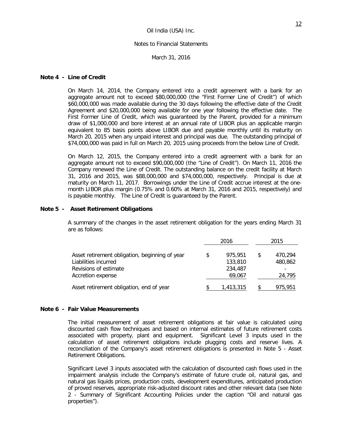March 31, 2016

## **Note 4 - Line of Credit**

On March 14, 2014, the Company entered into a credit agreement with a bank for an aggregate amount not to exceed \$80,000,000 (the "First Former Line of Credit") of which \$60,000,000 was made available during the 30 days following the effective date of the Credit Agreement and \$20,000,000 being available for one year following the effective date. The First Former Line of Credit, which was guaranteed by the Parent, provided for a minimum draw of \$1,000,000 and bore interest at an annual rate of LIBOR plus an applicable margin equivalent to 85 basis points above LIBOR due and payable monthly until its maturity on March 20, 2015 when any unpaid interest and principal was due. The outstanding principal of \$74,000,000 was paid in full on March 20, 2015 using proceeds from the below Line of Credit.

On March 12, 2015, the Company entered into a credit agreement with a bank for an aggregate amount not to exceed \$90,000,000 (the "Line of Credit"). On March 11, 2016 the Company renewed the Line of Credit. The outstanding balance on the credit facility at March 31, 2016 and 2015, was \$88,000,000 and \$74,000,000, respectively. Principal is due at maturity on March 11, 2017. Borrowings under the Line of Credit accrue interest at the onemonth LIBOR plus margin (0.75% and 0.60% at March 31, 2016 and 2015, respectively) and is payable monthly. The Line of Credit is guaranteed by the Parent.

## **Note 5 - Asset Retirement Obligations**

A summary of the changes in the asset retirement obligation for the years ending March 31 are as follows:

|                                                | 2016 |                    | 2015 |                                     |  |
|------------------------------------------------|------|--------------------|------|-------------------------------------|--|
| Asset retirement obligation, beginning of year | S    | 975,951            | \$   | 470.294                             |  |
| Liabilities incurred<br>Revisions of estimate  |      | 133,810<br>234,487 |      | 480,862<br>$\overline{\phantom{0}}$ |  |
| Accretion expense                              |      | 69,067             |      | 24,795                              |  |
| Asset retirement obligation, end of year       |      | 1,413,315          | \$.  | 975,951                             |  |

## **Note 6 - Fair Value Measurements**

The initial measurement of asset retirement obligations at fair value is calculated using discounted cash flow techniques and based on internal estimates of future retirement costs associated with property, plant and equipment. Significant Level 3 inputs used in the calculation of asset retirement obligations include plugging costs and reserve lives. A reconciliation of the Company's asset retirement obligations is presented in Note 5 - Asset Retirement Obligations.

Significant Level 3 inputs associated with the calculation of discounted cash flows used in the impairment analysis include the Company's estimate of future crude oil, natural gas, and natural gas liquids prices, production costs, development expenditures, anticipated production of proved reserves, appropriate risk-adjusted discount rates and other relevant data (see Note 2 - Summary of Significant Accounting Policies under the caption "Oil and natural gas properties").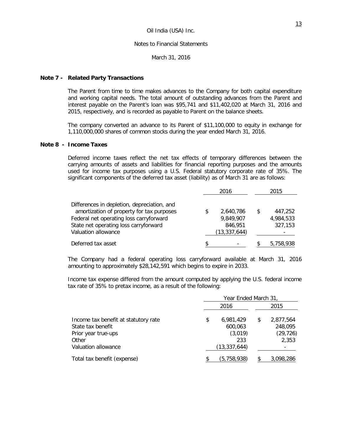March 31, 2016

## **Note 7 - Related Party Transactions**

The Parent from time to time makes advances to the Company for both capital expenditure and working capital needs. The total amount of outstanding advances from the Parent and interest payable on the Parent's loan was \$95,741 and \$11,402,020 at March 31, 2016 and 2015, respectively, and is recorded as payable to Parent on the balance sheets.

The company converted an advance to its Parent of \$11,100,000 to equity in exchange for 1,110,000,000 shares of common stocks during the year ended March 31, 2016.

## **Note 8 - Income Taxes**

Deferred income taxes reflect the net tax effects of temporary differences between the carrying amounts of assets and liabilities for financial reporting purposes and the amounts used for income tax purposes using a U.S. Federal statutory corporate rate of 35%. The significant components of the deferred tax asset (liability) as of March 31 are as follows:

|                                             |    | 2016           |   | 2015      |
|---------------------------------------------|----|----------------|---|-----------|
| Differences in depletion, depreciation, and |    |                |   |           |
| amortization of property for tax purposes   | S  | 2,640,786      | S | 447.252   |
| Federal net operating loss carryforward     |    | 9,849,907      |   | 4,984,533 |
| State net operating loss carryforward       |    | 846,951        |   | 327,153   |
| Valuation allowance                         |    | (13, 337, 644) |   |           |
| Deferred tax asset                          | \$ |                |   | 5,758,938 |

The Company had a federal operating loss carryforward available at March 31, 2016 amounting to approximately \$28,142,591 which begins to expire in 2033.

Income tax expense differed from the amount computed by applying the U.S. federal income tax rate of 35% to pretax income, as a result of the following:

|                                      | Year Ended March 31, |                |    |           |  |
|--------------------------------------|----------------------|----------------|----|-----------|--|
|                                      |                      | 2016           |    | 2015      |  |
| Income tax benefit at statutory rate | \$                   | 6.981.429      | \$ | 2,877,564 |  |
| State tax benefit                    |                      | 600,063        |    | 248,095   |  |
| Prior year true-ups                  |                      | (3,019)        |    | (29, 726) |  |
| Other                                |                      | 233            |    | 2,353     |  |
| Valuation allowance                  |                      | (13, 337, 644) |    |           |  |
| Total tax benefit (expense)          |                      | (5,758,938)    | \$ | 3,098,286 |  |